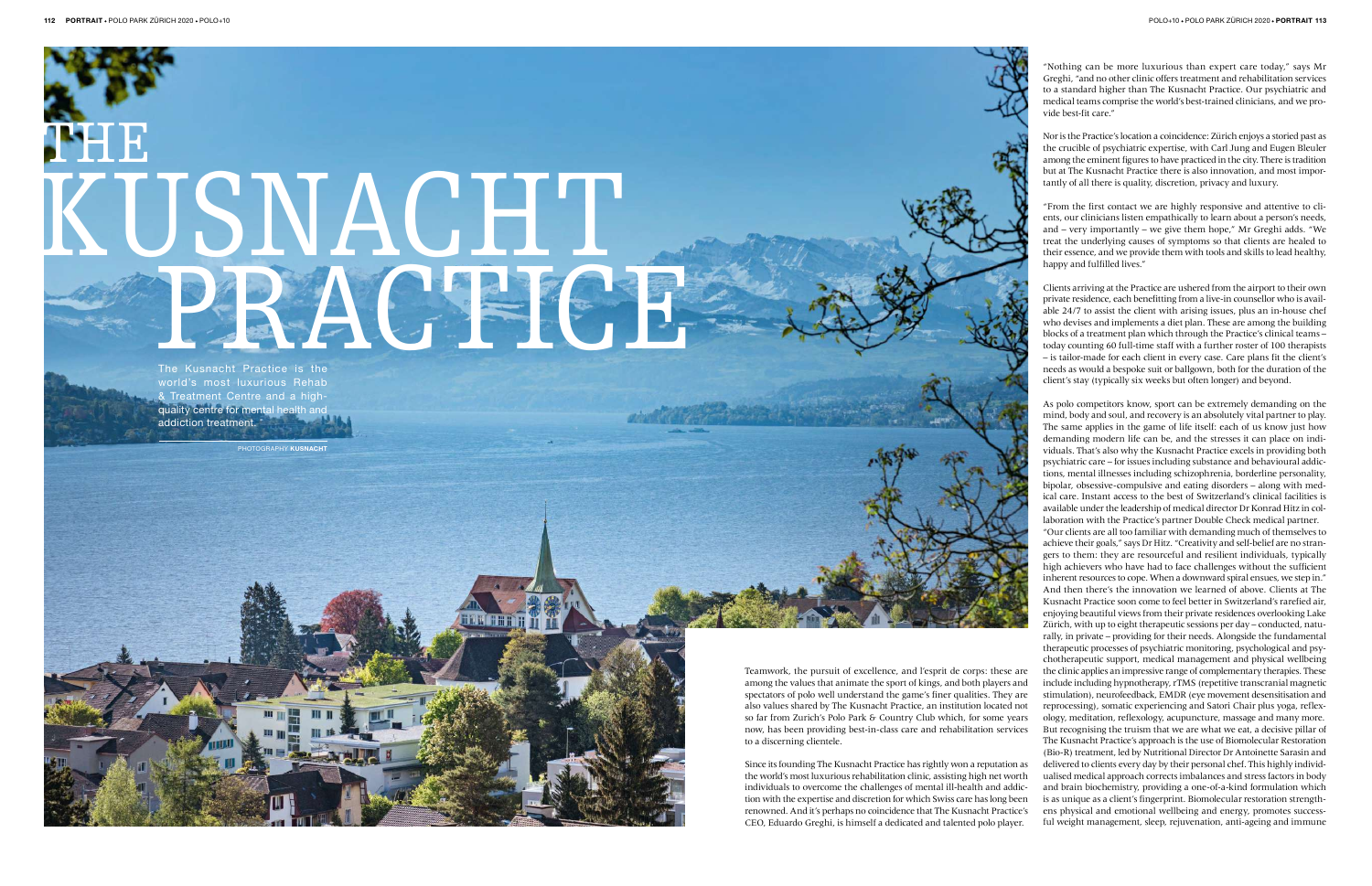## KUSNACHT **PRACTICE** THE

PHOTOGRAPHY **KUSNACHT**

The Kusnacht Practice is the world's most luxurious Rehab & Treatment Centre and a highquality centre for mental health and addiction treatment.

> Teamwork, the pursuit of excellence, and l'esprit de corps: these are among the values that animate the sport of kings, and both players and spectators of polo well understand the game's finer qualities. They are also values shared by The Kusnacht Practice, an institution located not so far from Zurich's Polo Park & Country Club which, for some years now, has been providing best-in-class care and rehabilitation services to a discerning clientele.

> Since its founding The Kusnacht Practice has rightly won a reputation as the world's most luxurious rehabilitation clinic, assisting high net worth individuals to overcome the challenges of mental ill-health and addiction with the expertise and discretion for which Swiss care has long been renowned. And it's perhaps no coincidence that The Kusnacht Practice's CEO, Eduardo Greghi, is himself a dedicated and talented polo player.

"From the first contact we are highly responsive and attentive to clients, our clinicians listen empathically to learn about a person's needs, and – very importantly – we give them hope," Mr Greghi adds. "We treat the underlying causes of symptoms so that clients are healed to their essence, and we provide them with tools and skills to lead healthy, happy and fulfilled lives."

"Nothing can be more luxurious than expert care today," says Mr Greghi, "and no other clinic offers treatment and rehabilitation services to a standard higher than The Kusnacht Practice. Our psychiatric and medical teams comprise the world's best-trained clinicians, and we provide best-fit care."

Nor is the Practice's location a coincidence: Zürich enjoys a storied past as the crucible of psychiatric expertise, with Carl Jung and Eugen Bleuler among the eminent figures to have practiced in the city. There is tradition but at The Kusnacht Practice there is also innovation, and most importantly of all there is quality, discretion, privacy and luxury.

Clients arriving at the Practice are ushered from the airport to their own private residence, each benefitting from a live-in counsellor who is available 24/7 to assist the client with arising issues, plus an in-house chef who devises and implements a diet plan. These are among the building blocks of a treatment plan which through the Practice's clinical teams – today counting 60 full-time staff with a further roster of 100 therapists – is tailor-made for each client in every case. Care plans fit the client's needs as would a bespoke suit or ballgown, both for the duration of the client's stay (typically six weeks but often longer) and beyond.

As polo competitors know, sport can be extremely demanding on the mind, body and soul, and recovery is an absolutely vital partner to play. The same applies in the game of life itself: each of us know just how demanding modern life can be, and the stresses it can place on individuals. That's also why the Kusnacht Practice excels in providing both psychiatric care – for issues including substance and behavioural addictions, mental illnesses including schizophrenia, borderline personality, bipolar, obsessive-compulsive and eating disorders – along with medical care. Instant access to the best of Switzerland's clinical facilities is available under the leadership of medical director Dr Konrad Hitz in collaboration with the Practice's partner Double Check medical partner. "Our clients are all too familiar with demanding much of themselves to achieve their goals," says Dr Hitz. "Creativity and self-belief are no strangers to them: they are resourceful and resilient individuals, typically high achievers who have had to face challenges without the sufficient inherent resources to cope. When a downward spiral ensues, we step in." And then there's the innovation we learned of above. Clients at The Kusnacht Practice soon come to feel better in Switzerland's rarefied air, enjoying beautiful views from their private residences overlooking Lake Zürich, with up to eight therapeutic sessions per day – conducted, naturally, in private – providing for their needs. Alongside the fundamental therapeutic processes of psychiatric monitoring, psychological and psychotherapeutic support, medical management and physical wellbeing the clinic applies an impressive range of complementary therapies. These include including hypnotherapy, rTMS (repetitive transcranial magnetic stimulation), neurofeedback, EMDR (eye movement desensitisation and reprocessing), somatic experiencing and Satori Chair plus yoga, reflexology, meditation, reflexology, acupuncture, massage and many more. But recognising the truism that we are what we eat, a decisive pillar of The Kusnacht Practice's approach is the use of Biomolecular Restoration (Bio-R) treatment, led by Nutritional Director Dr Antoinette Sarasin and delivered to clients every day by their personal chef. This highly individualised medical approach corrects imbalances and stress factors in body and brain biochemistry, providing a one-of-a-kind formulation which is as unique as a client's fingerprint. Biomolecular restoration strengthens physical and emotional wellbeing and energy, promotes successful weight management, sleep, rejuvenation, anti-ageing and immune